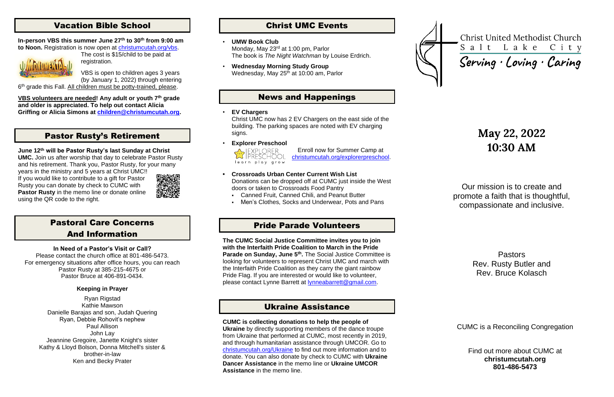# Vacation Bible School

The cost is \$15/child to be paid at registration.

#### **In-person VBS this summer June 27th to 30th from 9:00 am to Noon.** Registration is now open at [christumcutah.org/vbs.](http://www.christumcutah.org/vbs)



VBS is open to children ages 3 years (by January 1, 2022) through entering

6<sup>th</sup> grade this Fall. All children must be potty-trained, please.

**VBS volunteers are needed! Any adult or youth 7th grade and older is appreciated. To help out contact Alicia Griffing or Alicia Simons at [children@christumcutah.org.](mailto:children@christumcutah.org)**

# Pastor Rusty's Retirement

#### **June 12th will be Pastor Rusty's last Sunday at Christ**

**UMC.** Join us after worship that day to celebrate Pastor Rusty and his retirement. Thank you, Pastor Rusty, for your many

• **Wednesday Morning Study Group** Wednesday, May 25<sup>th</sup> at 10:00 am, Parlor

years in the ministry and 5 years at Christ UMC!! If you would like to contribute to a gift for Pastor Rusty you can donate by check to CUMC with **Pastor Rusty** in the memo line or donate online using the QR code to the right.



Christ UMC now has 2 EV Chargers on the east side of the building. The parking spaces are noted with EV charging signs.

- **• Crossroads Urban Center Current Wish List** Donations can be dropped off at CUMC just inside the West doors or taken to Crossroads Food Pantry
	- Canned Fruit, Canned Chili, and Peanut Butter
	- Men's Clothes, Socks and Underwear, Pots and Pans

# Pastoral Care Concerns And Information

#### **In Need of a Pastor's Visit or Call?**

Please contact the church office at 801-486-5473. For emergency situations after office hours, you can reach Pastor Rusty at 385-215-4675 or Pastor Bruce at 406-891-0434.

### **Keeping in Prayer**

Ryan Rigstad Kathie Mawson Danielle Barajas and son, Judah Quering Ryan, Debbie Rohovit's nephew Paul Allison John Lay Jeannine Gregoire, Janette Knight's sister Kathy & Lloyd Bolson, Donna Mitchell's sister & brother-in-law Ken and Becky Prater

# Christ UMC Events

#### • **UMW Book Club**

Monday, May 23rd at 1:00 pm, Parlor The book is *The Night Watchman* by Louise Erdrich.

# News and Happenings

#### • **EV Chargers**

• **Explorer Preschool**



Enroll now for Summer Camp at [christumcutah.org/explorerpreschool.](file://///CUMC-DC01/data/CUMCData/CommonFolder/Bulletins/2022%20Bulletins/01%20January/christumcutah.org/discoveryplacepreschool)

# Pride Parade Volunteers

**The CUMC Social Justice Committee invites you to join with the Interfaith Pride Coalition to March in the Pride Parade on Sunday, June 5th .** The Social Justice Committee is looking for volunteers to represent Christ UMC and march with the Interfaith Pride Coalition as they carry the giant rainbow Pride Flag. If you are interested or would like to volunteer, please contact Lynne Barrett at [lynneabarrett@gmail.com.](mailto:lynneabarrett@gmail.com)

## Ukraine Assistance

**CUMC is collecting donations to help the people of Ukraine** by directly supporting members of the dance troupe from Ukraine that performed at CUMC, most recently in 2019, and through humanitarian assistance through UMCOR. Go to [christumcutah.org/Ukraine](http://www.christumcutah.org/Ukraine) to find out more information and to donate. You can also donate by check to CUMC with **Ukraine Dancer Assistance** in the memo line or **Ukraine UMCOR Assistance** in the memo line.



**Christ United Methodist Church** Salt Lake City Serving · Loving · Caring

# **May 22, 2022 10:30 AM**

Our mission is to create and promote a faith that is thoughtful, compassionate and inclusive.

> Pastors Rev. Rusty Butler and Rev. Bruce Kolasch

CUMC is a Reconciling Congregation

Find out more about CUMC at **christumcutah.org 801-486-5473**